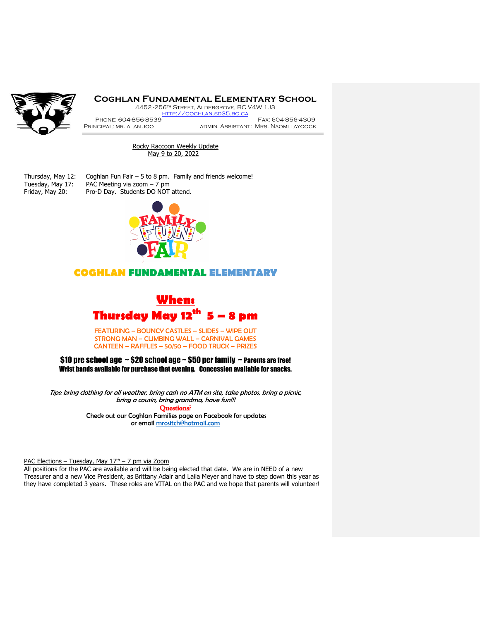

## **Coghlan Fundamental Elementary School**

4452 -256th Street, Aldergrove, BC V4W 1J3 [http://coghlan.sd35.bc.ca](http://coghlan.sd35.bc.ca/) 

PHONE: 604-856-8539 FAX: 604-856-4309 Principal: mr. alan joo admin. Assistant: Mrs. Naomi laycock

> Rocky Raccoon Weekly Update May 9 to 20, 2022

I

Thursday, May 12: Coghlan Fun Fair – 5 to 8 pm. Family and friends welcome! Tuesday, May 17: PAC Meeting via zoom – 7 pm Friday, May 20: Pro-D Day. Students DO NOT attend.



# **COGHLAN FUNDAMENTAL ELEMENTARY**



FEATURING – BOUNCY CASTLES – SLIDES – WIPE OUT STRONG MAN – CLIMBING WALL – CARNIVAL GAMES CANTEEN – RAFFLES – 50/50 – FOOD TRUCK – PRIZES

\$10 pre school age ~ \$20 school age ~ \$50 per family ~ Parents are free! Wrist bands available for purchase that evening. Concession available for snacks.

Tips: bring clothing for all weather, bring cash no ATM on site, take photos, bring a picnic, bring a cousin, bring grandma, have fun!!! Questions? Check out our Coghlan Families page on Facebook for updates or email [mrositch@hotmail.com](mailto:mrositch@hotmail.com)

PAC Elections - Tuesday, May  $17<sup>th</sup>$  - 7 pm via Zoom

All positions for the PAC are available and will be being elected that date. We are in NEED of a new Treasurer and a new Vice President, as Brittany Adair and Laila Meyer and have to step down this year as they have completed 3 years. These roles are VITAL on the PAC and we hope that parents will volunteer!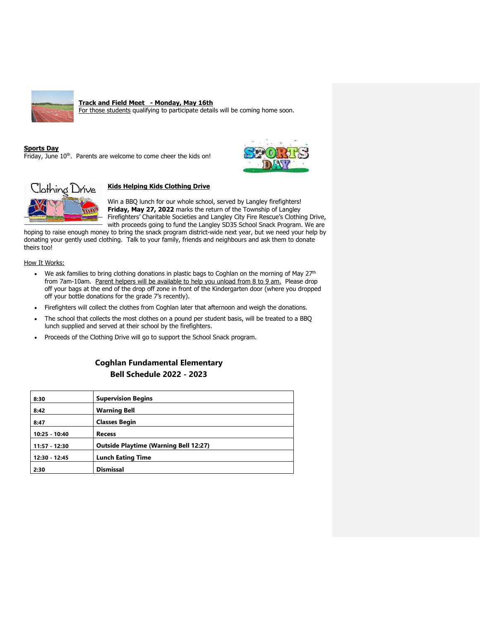

#### **Track and Field Meet - Monday, May 16th**

For those students qualifying to participate details will be coming home soon.

#### **Sports Day**

Friday, June 10<sup>th</sup>. Parents are welcome to come cheer the kids on!





#### **Kids Helping Kids Clothing Drive**

Win a BBQ lunch for our whole school, served by Langley firefighters! **Friday, May 27, 2022** marks the return of the Township of Langley Firefighters' Charitable Societies and Langley City Fire Rescue's Clothing Drive, with proceeds going to fund the Langley SD35 School Snack Program. We are

hoping to raise enough money to bring the snack program district-wide next year, but we need your help by donating your gently used clothing. Talk to your family, friends and neighbours and ask them to donate theirs too!

#### How It Works:

- We ask families to bring clothing donations in plastic bags to Coghlan on the morning of May 27<sup>th</sup> from 7am-10am. Parent helpers will be available to help you unload from 8 to 9 am. Please drop off your bags at the end of the drop off zone in front of the Kindergarten door (where you dropped off your bottle donations for the grade 7's recently).
- Firefighters will collect the clothes from Coghlan later that afternoon and weigh the donations.
- The school that collects the most clothes on a pound per student basis, will be treated to a BBQ lunch supplied and served at their school by the firefighters.
- Proceeds of the Clothing Drive will go to support the School Snack program.

## **Coghlan Fundamental Elementary Bell Schedule 2022 - 2023**

| 8:30          | <b>Supervision Begins</b>                    |
|---------------|----------------------------------------------|
| 8:42          | <b>Warning Bell</b>                          |
| 8:47          | <b>Classes Begin</b>                         |
| 10:25 - 10:40 | <b>Recess</b>                                |
| 11:57 - 12:30 | <b>Outside Playtime (Warning Bell 12:27)</b> |
| 12:30 - 12:45 | <b>Lunch Eating Time</b>                     |
| 2:30          | <b>Dismissal</b>                             |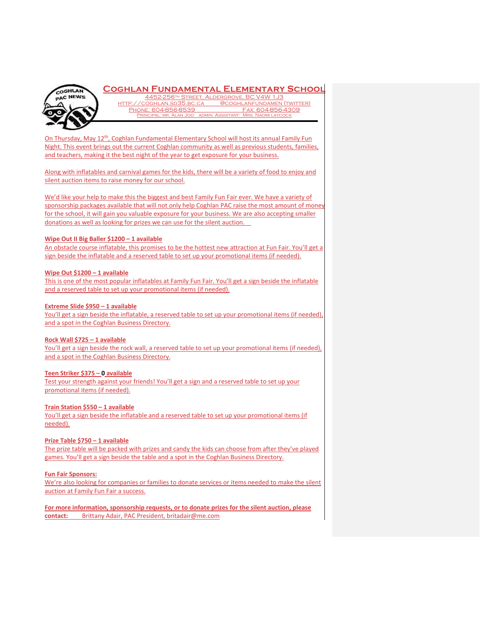

#### **Coghlan Fundamental Elementary School**

4452-256™ STREET, ALDERGROVE, BC V4W 1J3<br>COGHLAN.S<u>D35.BC.CA</u> ©COGHLANFUNDAMEN [http://coghlan.sd35.bc.ca](http://coghlan.sd35.bc.ca/) @coghlanfundamen (twitter) PHONE: 604-856-8539 FAX: 604-856-4309 Principal: mr. Alan Joo admin. Assistant: Mrs. Naomi laycock

On Thursday, May 12<sup>th</sup>, Coghlan Fundamental Elementary School will host its annual Family Fun Night. This event brings out the current Coghlan community as well as previous students, families, and teachers, making it the best night of the year to get exposure for your business.

Along with inflatables and carnival games for the kids, there will be a variety of food to enjoy and silent auction items to raise money for our school.

We'd like your help to make this the biggest and best Family Fun Fair ever. We have a variety of sponsorship packages available that will not only help Coghlan PAC raise the most amount of money for the school, it will gain you valuable exposure for your business. We are also accepting smaller donations as well as looking for prizes we can use for the silent auction.

#### **Wipe Out II Big Baller \$1200 – 1 available**

An obstacle course inflatable, this promises to be the hottest new attraction at Fun Fair. You'll get a sign beside the inflatable and a reserved table to set up your promotional items (if needed).

#### **Wipe Out \$1200 – 1 available**

This is one of the most popular inflatables at Family Fun Fair. You'll get a sign beside the inflatable and a reserved table to set up your promotional items (if needed).

#### **Extreme Slide \$950 – 1 available**

You'll get a sign beside the inflatable, a reserved table to set up your promotional items (if needed) and a spot in the Coghlan Business Directory.

#### **Rock Wall \$725 – 1 available**

You'll get a sign beside the rock wall, a reserved table to set up your promotional items (if needed), and a spot in the Coghlan Business Directory.

#### **Teen Striker \$375 – 0 available**

Test your strength against your friends! You'll get a sign and a reserved table to set up your promotional items (if needed).

#### **Train Station \$550 – 1 available**

You'll get a sign beside the inflatable and a reserved table to set up your promotional items (if needed).

#### **Prize Table \$750 – 1 available**

The prize table will be packed with prizes and candy the kids can choose from after they've played games. You'll get a sign beside the table and a spot in the Coghlan Business Directory.

#### **Fun Fair Sponsors:**

We're also looking for companies or families to donate services or items needed to make the silent auction at Family Fun Fair a success.

**For more information, sponsorship requests, or to donate prizes for the silent auction, please contact:** Brittany Adair, PAC President, [britadair@me.com](mailto:britadair@me.com)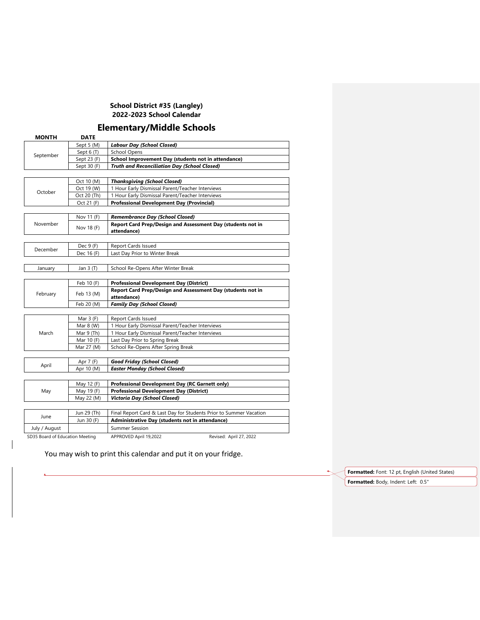#### **School District #35 (Langley) 2022-2023 School Calendar**

# **Elementary/Middle Schools**

| <b>MONTH</b> | <b>DATE</b> |                                                     |  |
|--------------|-------------|-----------------------------------------------------|--|
| September    | Sept 5 (M)  | Labour Day (School Closed)                          |  |
|              | Sept $6(T)$ | School Opens                                        |  |
|              | Sept 23 (F) | School Improvement Day (students not in attendance) |  |
|              | Sept 30 (F) | <b>Truth and Reconciliation Day (School Closed)</b> |  |
|              |             |                                                     |  |

|          | Oct 10 (M)  | <b>Thanksgiving (School Closed)</b>                                        |  |  |
|----------|-------------|----------------------------------------------------------------------------|--|--|
| October  | Oct 19 (W)  | 1 Hour Early Dismissal Parent/Teacher Interviews                           |  |  |
|          | Oct 20 (Th) | 1 Hour Early Dismissal Parent/Teacher Interviews                           |  |  |
|          | Oct 21 (F)  | <b>Professional Development Day (Provincial)</b>                           |  |  |
|          |             |                                                                            |  |  |
|          | Nov 11 (F)  | <b>Remembrance Day (School Closed)</b>                                     |  |  |
| November | Nov 18 (F)  | Report Card Prep/Design and Assessment Day (students not in<br>attendance) |  |  |
|          |             |                                                                            |  |  |
|          | Dec 9 (F)   | Report Cards Issued                                                        |  |  |
| December | Dec 16 (F)  | Last Day Prior to Winter Break                                             |  |  |
|          |             |                                                                            |  |  |
| January  | Jan $3(T)$  | School Re-Opens After Winter Break                                         |  |  |
|          |             |                                                                            |  |  |
|          | Feb 10 (F)  | <b>Professional Development Day (District)</b>                             |  |  |
| February | Feb 13 (M)  | Report Card Prep/Design and Assessment Day (students not in<br>attendance) |  |  |
|          | Feb 20 (M)  | <b>Family Day (School Closed)</b>                                          |  |  |
|          |             |                                                                            |  |  |
|          | Mar $3(F)$  | Report Cards Issued                                                        |  |  |
|          | Mar 8 (W)   | 1 Hour Early Dismissal Parent/Teacher Interviews                           |  |  |
| March    | Mar 9 (Th)  | 1 Hour Early Dismissal Parent/Teacher Interviews                           |  |  |
|          | Mar 10 (F)  | Last Day Prior to Spring Break                                             |  |  |
|          | Mar 27 (M)  | School Re-Opens After Spring Break                                         |  |  |
|          |             |                                                                            |  |  |
| April    | Apr 7 (F)   | <b>Good Friday (School Closed)</b>                                         |  |  |
|          | Apr 10 (M)  | <b>Easter Monday (School Closed)</b>                                       |  |  |

| Mav | May 12 (F)     | Professional Development Day (RC Garnett only)                     |
|-----|----------------|--------------------------------------------------------------------|
|     | May 19 (F)     | <b>Professional Development Day (District)</b>                     |
|     | May 22 (M)     | Victoria Day (School Closed)                                       |
|     |                |                                                                    |
|     | $1.10276$ (Th) | Einal Bonart Card & Last Day for Students Prior to Summer Vasation |

| June                            | Jun 29 (Th) | Final Report Card & Last Day for Students Prior to Summer Vacation |                         |  |
|---------------------------------|-------------|--------------------------------------------------------------------|-------------------------|--|
|                                 | Jun 30 (F)  | Administrative Day (students not in attendance)                    |                         |  |
| July / August                   |             | Summer Session                                                     |                         |  |
| SD35 Board of Education Meeting |             | APPROVED April 19,2022                                             | Revised: April 27, 2022 |  |

You may wish to print this calendar and put it on your fridge.

**Formatted:** Font: 12 pt, English (United States)

**Formatted:** Body, Indent: Left: 0.5"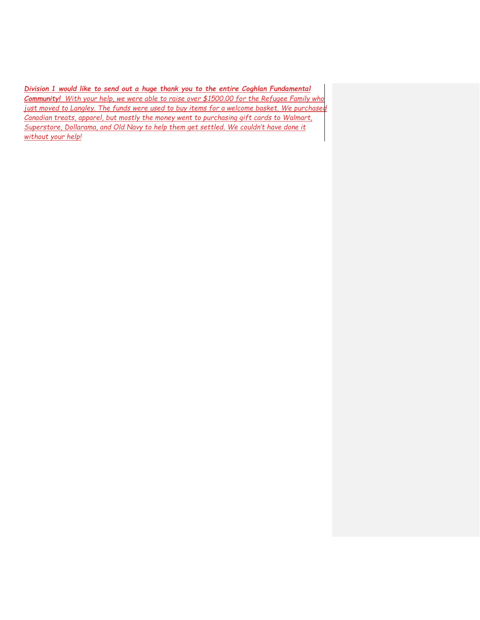*Division 1 would like to send out a huge thank you to the entire Coghlan Fundamental Community! With your help, we were able to raise over \$1500.00 for the Refugee Family who just moved to Langley. The funds were used to buy items for a welcome basket. We purchased Canadian treats, apparel, but mostly the money went to purchasing gift cards to Walmart, Superstore, Dollarama, and Old Navy to help them get settled. We couldn't have done it without your help!*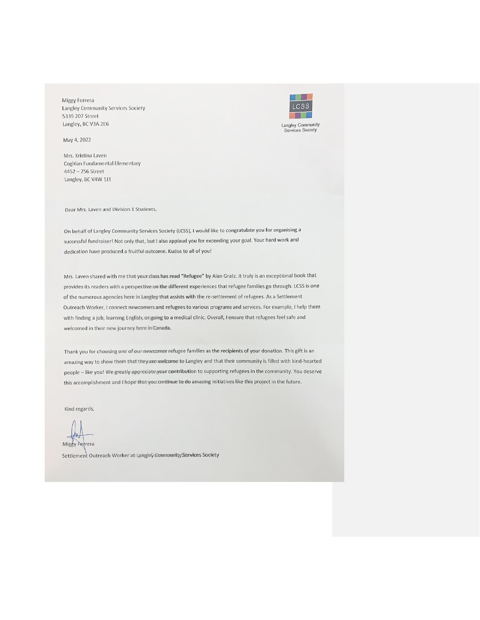Miggy Ferrera Langley Community Services Society 5339 207 Street Langley, BC V3A 2E6



May 4, 2022

Mrs. Kristina Laven Coghlan Fundamental Elementary 4452 - 256 Street Langley, BC V4W 1J3

Dear Mrs. Laven and Division 1 Students,

On behalf of Langley Community Services Society (LCSS), I would like to congratulate you for organising a successful fundraiser! Not only that, but I also applaud you for exceeding your goal. Your hard work and dedication have produced a fruitful outcome. Kudos to all of you!

Mrs. Laven shared with me that your class has read "Refugee" by Alan Gratz. It truly is an exceptional book that provides its readers with a perspective on the different experiences that refugee families go through. LCSS is one of the numerous agencies here in Langley that assists with the re-settlement of refugees. As a Settlement Outreach Worker, I connect newcomers and refugees to various programs and services. For example, I help them with finding a job, learning English, or going to a medical clinic. Overall, I ensure that refugees feel safe and welcomed in their new journey here in Canada.

Thank you for choosing one of our newcomer refugee families as the recipients of your donation. This gift is an amazing way to show them that they are welcome to Langley and that their community is filled with kind-hearted people - like you! We greatly appreciate your contribution to supporting refugees in the community. You deserve this accomplishment and I hope that you: continue to do amazing initiatives like this project in the future.

Kind regards,

Miggy Ferrera Settlement Outreach Worker at Langley Community Services Society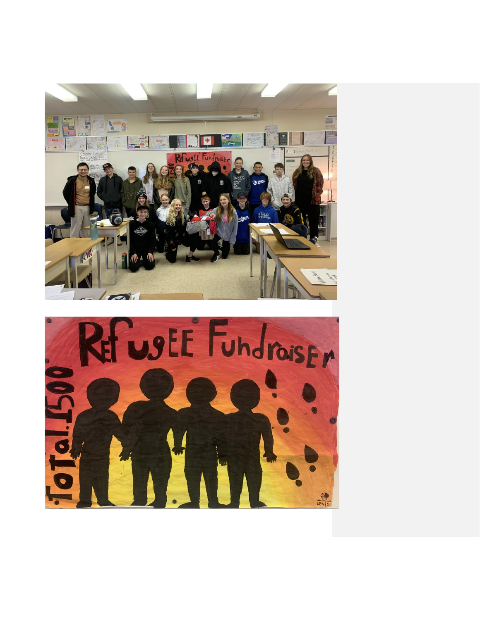